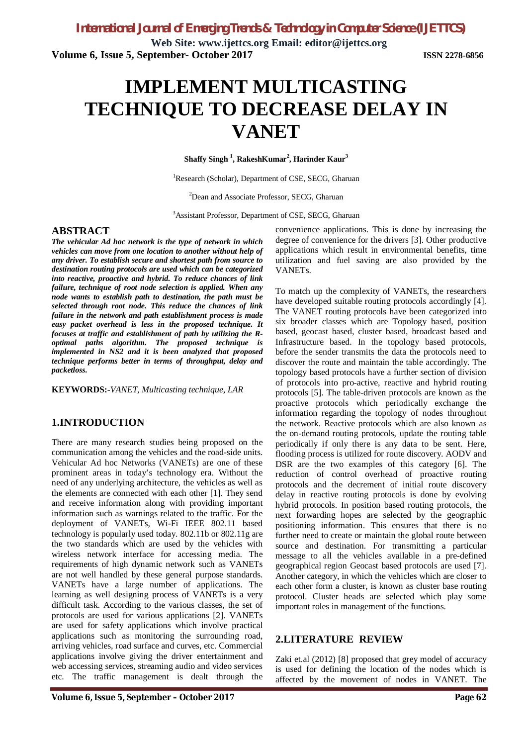**Web Site: www.ijettcs.org Email: editor@ijettcs.org Volume 6, Issue 5, September- October 2017 ISSN 2278-6856**

# **IMPLEMENT MULTICASTING TECHNIQUE TO DECREASE DELAY IN VANET**

**Shaffy Singh <sup>1</sup> , RakeshKumar<sup>2</sup> , Harinder Kaur<sup>3</sup>**

<sup>1</sup>Research (Scholar), Department of CSE, SECG, Gharuan

<sup>2</sup>Dean and Associate Professor, SECG, Gharuan

<sup>3</sup>Assistant Professor, Department of CSE, SECG, Gharuan

#### **ABSTRACT**

*The vehicular Ad hoc network is the type of network in which vehicles can move from one location to another without help of any driver. To establish secure and shortest path from source to destination routing protocols are used which can be categorized into reactive, proactive and hybrid. To reduce chances of link failure, technique of root node selection is applied. When any node wants to establish path to destination, the path must be selected through root node. This reduce the chances of link failure in the network and path establishment process is made easy packet overhead is less in the proposed technique. It focuses at traffic and establishment of path by utilizing the Roptimal paths algorithm. The proposed technique is implemented in NS2 and it is been analyzed that proposed technique performs better in terms of throughput, delay and packetloss.* 

**KEYWORDS:-***VANET, Multicasting technique, LAR*

### **1.INTRODUCTION**

There are many research studies being proposed on the communication among the vehicles and the road-side units. Vehicular Ad hoc Networks (VANETs) are one of these prominent areas in today's technology era. Without the need of any underlying architecture, the vehicles as well as the elements are connected with each other [1]. They send and receive information along with providing important information such as warnings related to the traffic. For the deployment of VANETs, Wi-Fi IEEE 802.11 based technology is popularly used today. 802.11b or 802.11g are the two standards which are used by the vehicles with wireless network interface for accessing media. The requirements of high dynamic network such as VANETs are not well handled by these general purpose standards. VANETs have a large number of applications. The learning as well designing process of VANETs is a very difficult task. According to the various classes, the set of protocols are used for various applications [2]. VANETs are used for safety applications which involve practical applications such as monitoring the surrounding road, arriving vehicles, road surface and curves, etc. Commercial applications involve giving the driver entertainment and web accessing services, streaming audio and video services etc. The traffic management is dealt through the

convenience applications. This is done by increasing the degree of convenience for the drivers [3]. Other productive applications which result in environmental benefits, time utilization and fuel saving are also provided by the VANETs.

To match up the complexity of VANETs, the researchers have developed suitable routing protocols accordingly [4]. The VANET routing protocols have been categorized into six broader classes which are Topology based, position based, geocast based, cluster based, broadcast based and Infrastructure based. In the topology based protocols, before the sender transmits the data the protocols need to discover the route and maintain the table accordingly. The topology based protocols have a further section of division of protocols into pro-active, reactive and hybrid routing protocols [5]. The table-driven protocols are known as the proactive protocols which periodically exchange the information regarding the topology of nodes throughout the network. Reactive protocols which are also known as the on-demand routing protocols, update the routing table periodically if only there is any data to be sent. Here, flooding process is utilized for route discovery. AODV and DSR are the two examples of this category [6]. The reduction of control overhead of proactive routing protocols and the decrement of initial route discovery delay in reactive routing protocols is done by evolving hybrid protocols. In position based routing protocols, the next forwarding hopes are selected by the geographic positioning information. This ensures that there is no further need to create or maintain the global route between source and destination. For transmitting a particular message to all the vehicles available in a pre-defined geographical region Geocast based protocols are used [7]. Another category, in which the vehicles which are closer to each other form a cluster, is known as cluster base routing protocol. Cluster heads are selected which play some important roles in management of the functions.

#### **2.LITERATURE REVIEW**

Zaki et.al (2012) [8] proposed that grey model of accuracy is used for defining the location of the nodes which is affected by the movement of nodes in VANET. The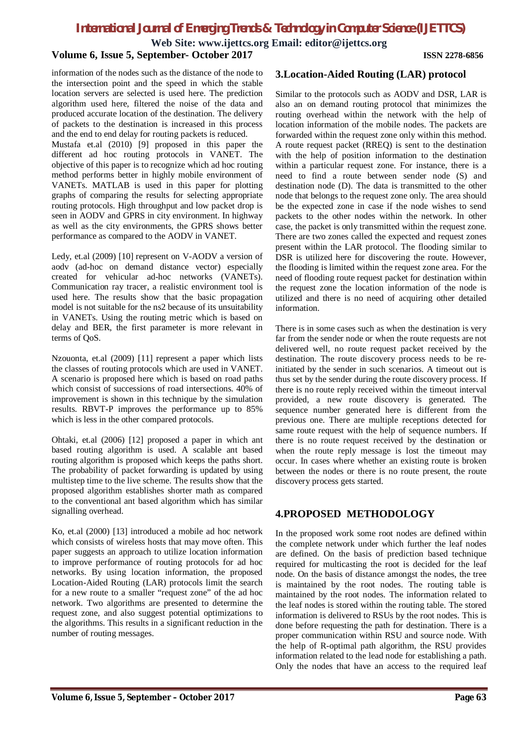**Web Site: www.ijettcs.org Email: editor@ijettcs.org**

### **Volume 6, Issue 5, September- October 2017 ISSN 2278-6856**

information of the nodes such as the distance of the node to the intersection point and the speed in which the stable location servers are selected is used here. The prediction algorithm used here, filtered the noise of the data and produced accurate location of the destination. The delivery of packets to the destination is increased in this process and the end to end delay for routing packets is reduced.

Mustafa et.al (2010) [9] proposed in this paper the different ad hoc routing protocols in VANET. The objective of this paper is to recognize which ad hoc routing method performs better in highly mobile environment of VANETs. MATLAB is used in this paper for plotting graphs of comparing the results for selecting appropriate routing protocols. High throughput and low packet drop is seen in AODV and GPRS in city environment. In highway as well as the city environments, the GPRS shows better performance as compared to the AODV in VANET.

Ledy, et.al (2009) [10] represent on V-AODV a version of aodv (ad-hoc on demand distance vector) especially created for vehicular ad-hoc networks (VANETs). Communication ray tracer, a realistic environment tool is used here. The results show that the basic propagation model is not suitable for the ns2 because of its unsuitability in VANETs. Using the routing metric which is based on delay and BER, the first parameter is more relevant in terms of QoS.

Nzouonta, et.al (2009) [11] represent a paper which lists the classes of routing protocols which are used in VANET. A scenario is proposed here which is based on road paths which consist of successions of road intersections. 40% of improvement is shown in this technique by the simulation results. RBVT-P improves the performance up to 85% which is less in the other compared protocols.

Ohtaki, et.al (2006) [12] proposed a paper in which ant based routing algorithm is used. A scalable ant based routing algorithm is proposed which keeps the paths short. The probability of packet forwarding is updated by using multistep time to the live scheme. The results show that the proposed algorithm establishes shorter math as compared to the conventional ant based algorithm which has similar signalling overhead.

Ko, et.al (2000) [13] introduced a mobile ad hoc network which consists of wireless hosts that may move often. This paper suggests an approach to utilize location information to improve performance of routing protocols for ad hoc networks. By using location information, the proposed Location-Aided Routing (LAR) protocols limit the search for a new route to a smaller "request zone" of the ad hoc network. Two algorithms are presented to determine the request zone, and also suggest potential optimizations to the algorithms. This results in a significant reduction in the number of routing messages.

### **3.Location-Aided Routing (LAR) protocol**

Similar to the protocols such as AODV and DSR, LAR is also an on demand routing protocol that minimizes the routing overhead within the network with the help of location information of the mobile nodes. The packets are forwarded within the request zone only within this method. A route request packet (RREQ) is sent to the destination with the help of position information to the destination within a particular request zone. For instance, there is a need to find a route between sender node (S) and destination node (D). The data is transmitted to the other node that belongs to the request zone only. The area should be the expected zone in case if the node wishes to send packets to the other nodes within the network. In other case, the packet is only transmitted within the request zone. There are two zones called the expected and request zones present within the LAR protocol. The flooding similar to DSR is utilized here for discovering the route. However, the flooding is limited within the request zone area. For the need of flooding route request packet for destination within the request zone the location information of the node is utilized and there is no need of acquiring other detailed information.

There is in some cases such as when the destination is very far from the sender node or when the route requests are not delivered well, no route request packet received by the destination. The route discovery process needs to be reinitiated by the sender in such scenarios. A timeout out is thus set by the sender during the route discovery process. If there is no route reply received within the timeout interval provided, a new route discovery is generated. The sequence number generated here is different from the previous one. There are multiple receptions detected for same route request with the help of sequence numbers. If there is no route request received by the destination or when the route reply message is lost the timeout may occur. In cases where whether an existing route is broken between the nodes or there is no route present, the route discovery process gets started.

## **4.PROPOSED METHODOLOGY**

In the proposed work some root nodes are defined within the complete network under which further the leaf nodes are defined. On the basis of prediction based technique required for multicasting the root is decided for the leaf node. On the basis of distance amongst the nodes, the tree is maintained by the root nodes. The routing table is maintained by the root nodes. The information related to the leaf nodes is stored within the routing table. The stored information is delivered to RSUs by the root nodes. This is done before requesting the path for destination. There is a proper communication within RSU and source node. With the help of R-optimal path algorithm, the RSU provides information related to the lead node for establishing a path. Only the nodes that have an access to the required leaf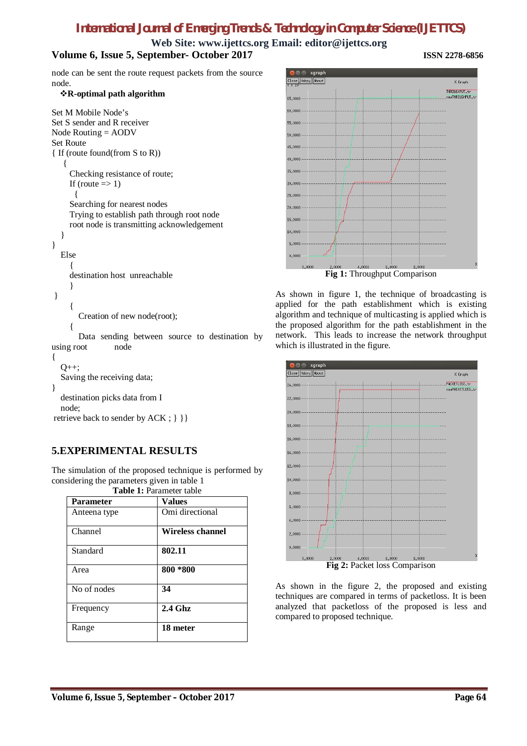**Web Site: www.ijettcs.org Email: editor@ijettcs.org**

# **Volume 6, Issue 5, September- October 2017 ISSN 2278-6856**

node can be sent the route request packets from the source node.

### **R-optimal path algorithm**

```
Set M Mobile Node's 
Set S sender and R receiver
Node Routing = AODV
Set Route 
{ If (route found(from S to R)) 
   { 
     Checking resistance of route; 
     If (route \Rightarrow 1)
       { 
     Searching for nearest nodes 
     Trying to establish path through root node 
     root node is transmitting acknowledgement
  } 
} 
  Else 
     {
     destination host unreachable
     }
} 
     {
       Creation of new node(root);
     {
       Data sending between source to destination by 
using root node
{ 
  O_{++};
```

```
Saving the receiving data; 
}
  destination picks data from I 
  node;
```
retrieve back to sender by ACK ;  $\}$  } }

# **5.EXPERIMENTAL RESULTS**

The simulation of the proposed technique is performed by considering the parameters given in table 1 **Table 1:** Parameter table

| <b>Parameter</b> | <b>Values</b>    |
|------------------|------------------|
| Anteena type     | Omi directional  |
| Channel          | Wireless channel |
| Standard         | 802.11           |
| Area             | 800 *800         |
| No of nodes      | 34               |
| Frequency        | $2.4$ Ghz        |
| Range            | 18 meter         |



As shown in figure 1, the technique of broadcasting is applied for the path establishment which is existing algorithm and technique of multicasting is applied which is the proposed algorithm for the path establishment in the network. This leads to increase the network throughput which is illustrated in the figure.



As shown in the figure 2, the proposed and existing techniques are compared in terms of packetloss. It is been analyzed that packetloss of the proposed is less and compared to proposed technique.